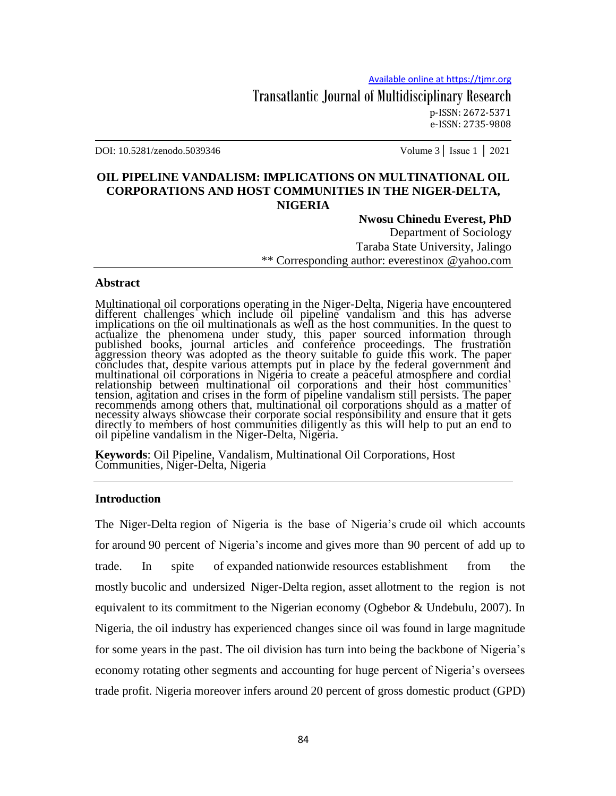Transatlantic Journal of Multidisciplinary Research p-ISSN: 2672-5371 e-ISSN: 2735-9808

DOI: 10.5281/zenodo.5039346 Volume 3│ Issue 1 │ 2021

## **OIL PIPELINE VANDALISM: IMPLICATIONS ON MULTINATIONAL OIL CORPORATIONS AND HOST COMMUNITIES IN THE NIGER-DELTA, NIGERIA**

#### **Nwosu Chinedu Everest, PhD**

Department of Sociology Taraba State University, Jalingo \*\* Corresponding author: everestinox @yahoo.com

#### **Abstract**

Multinational oil corporations operating in the Niger-Delta, Nigeria have encountered different challenges which include oil pipeline vandalism and this has adverse implications on the oil multinationals as well as the host communities. In the quest to actualize the phenomena under study, this paper sourced information through published books, journal articles and conference proceedings. The frustration aggression theory was adopted as the theory suitable to guide this work. The paper concludes that, despite various attempts put in place by the federal government and multinational oil corporations in Nigeria to create a peaceful atmosphere and cordial relationship between multinational oil corporations and their host communities' tension, agitation and crises in the form of pipeline vandalism still persists. The paper recommends among others that, multinational oil corporations should as a matter of necessity always showcase their corporate social responsibility and ensure that it gets directly to members of host communities diligently as this will help to put an end to oil pipeline vandalism in the Niger-Delta, Nigeria.

**Keywords**: Oil Pipeline, Vandalism, Multinational Oil Corporations, Host Communities, Niger-Delta, Nigeria

#### **Introduction**

The Niger-Delta region of Nigeria is the base of Nigeria's crude oil which accounts for around 90 percent of Nigeria"s income and gives more than 90 percent of add up to trade. In spite of expanded nationwide resources establishment from the mostly bucolic and undersized Niger-Delta region, asset allotment to the region is not equivalent to its commitment to the Nigerian economy (Ogbebor & Undebulu, 2007). In Nigeria, the oil industry has experienced changes since oil was found in large magnitude for some years in the past. The oil division has turn into being the backbone of Nigeria"s economy rotating other segments and accounting for huge percent of Nigeria"s oversees trade profit. Nigeria moreover infers around 20 percent of gross domestic product (GPD)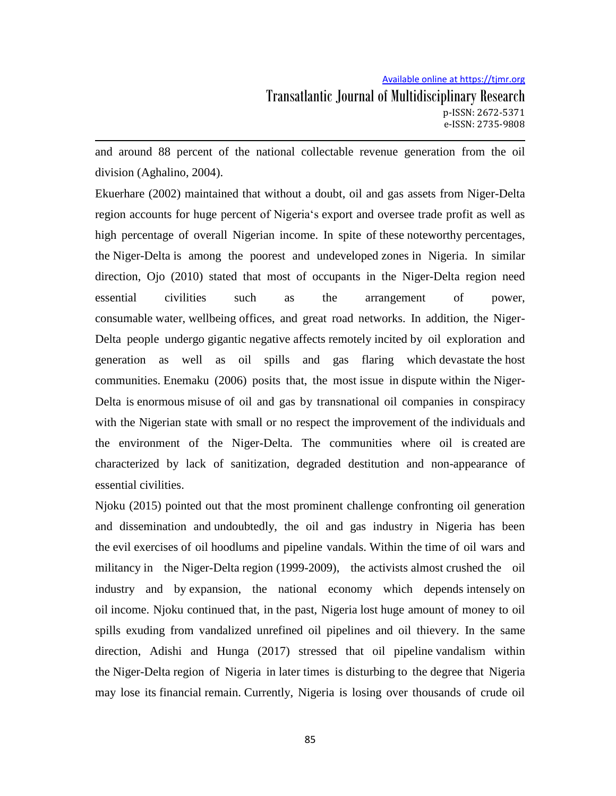and around 88 percent of the national collectable revenue generation from the oil division (Aghalino, 2004).

Ekuerhare (2002) maintained that without a doubt, oil and gas assets from Niger-Delta region accounts for huge percent of Nigeria"s export and oversee trade profit as well as high percentage of overall Nigerian income. In spite of these noteworthy percentages, the Niger-Delta is among the poorest and undeveloped zones in Nigeria. In similar direction, Ojo (2010) stated that most of occupants in the Niger-Delta region need essential civilities such as the arrangement of power, consumable water, wellbeing offices, and great road networks. In addition, the Niger-Delta people undergo gigantic negative affects remotely incited by oil exploration and generation as well as oil spills and gas flaring which devastate the host communities. Enemaku (2006) posits that, the most issue in dispute within the Niger-Delta is enormous misuse of oil and gas by transnational oil companies in conspiracy with the Nigerian state with small or no respect the improvement of the individuals and the environment of the Niger-Delta. The communities where oil is created are characterized by lack of sanitization, degraded destitution and non-appearance of essential civilities.

Njoku (2015) pointed out that the most prominent challenge confronting oil generation and dissemination and undoubtedly, the oil and gas industry in Nigeria has been the evil exercises of oil hoodlums and pipeline vandals. Within the time of oil wars and militancy in the Niger-Delta region (1999-2009), the activists almost crushed the oil industry and by expansion, the national economy which depends intensely on oil income. Njoku continued that, in the past, Nigeria lost huge amount of money to oil spills exuding from vandalized unrefined oil pipelines and oil thievery. In the same direction, Adishi and Hunga (2017) stressed that oil pipeline vandalism within the Niger-Delta region of Nigeria in later times is disturbing to the degree that Nigeria may lose its financial remain. Currently, Nigeria is losing over thousands of crude oil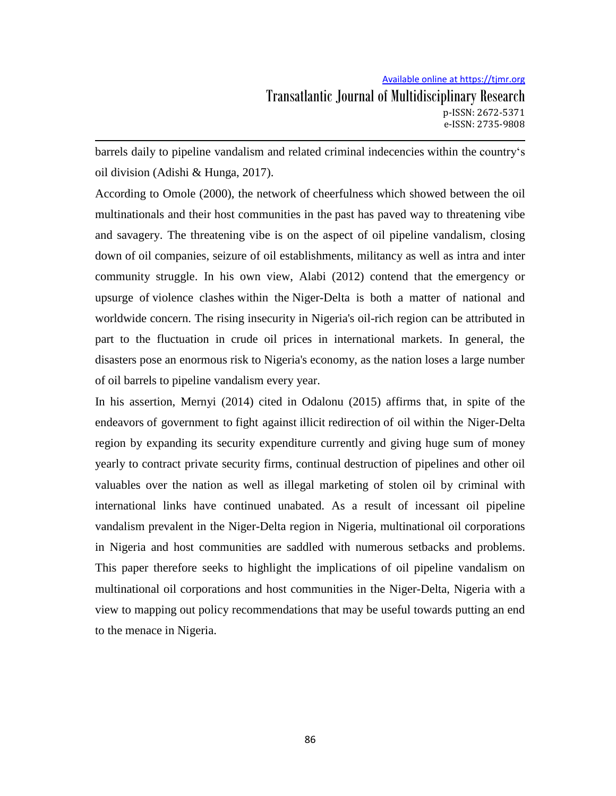barrels daily to pipeline vandalism and related criminal indecencies within the country"s oil division (Adishi & Hunga, 2017).

According to Omole (2000), the network of cheerfulness which showed between the oil multinationals and their host communities in the past has paved way to threatening vibe and savagery. The threatening vibe is on the aspect of oil pipeline vandalism, closing down of oil companies, seizure of oil establishments, militancy as well as intra and inter community struggle. In his own view, Alabi (2012) contend that the emergency or upsurge of violence clashes within the Niger-Delta is both a matter of national and worldwide concern. The rising insecurity in Nigeria's oil-rich region can be attributed in part to the fluctuation in crude oil prices in international markets. In general, the disasters pose an enormous risk to Nigeria's economy, as the nation loses a large number of oil barrels to pipeline vandalism every year.

In his assertion, Mernyi (2014) cited in Odalonu (2015) affirms that, in spite of the endeavors of government to fight against illicit redirection of oil within the Niger-Delta region by expanding its security expenditure currently and giving huge sum of money yearly to contract private security firms, continual destruction of pipelines and other oil valuables over the nation as well as illegal marketing of stolen oil by criminal with international links have continued unabated. As a result of incessant oil pipeline vandalism prevalent in the Niger-Delta region in Nigeria, multinational oil corporations in Nigeria and host communities are saddled with numerous setbacks and problems. This paper therefore seeks to highlight the implications of oil pipeline vandalism on multinational oil corporations and host communities in the Niger-Delta, Nigeria with a view to mapping out policy recommendations that may be useful towards putting an end to the menace in Nigeria.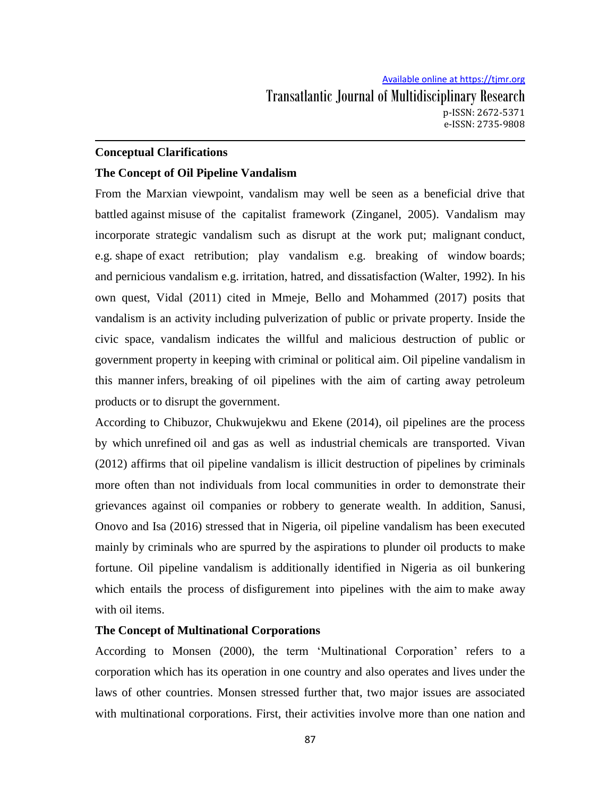## **Conceptual Clarifications**

## **The Concept of Oil Pipeline Vandalism**

From the Marxian viewpoint, vandalism may well be seen as a beneficial drive that battled against misuse of the capitalist framework (Zinganel, 2005). Vandalism may incorporate strategic vandalism such as disrupt at the work put; malignant conduct, e.g. shape of exact retribution; play vandalism e.g. breaking of window boards; and pernicious vandalism e.g. irritation, hatred, and dissatisfaction (Walter, 1992). In his own quest, Vidal (2011) cited in Mmeje, Bello and Mohammed (2017) posits that vandalism is an activity including pulverization of public or private property. Inside the civic space, vandalism indicates the willful and malicious destruction of public or government property in keeping with criminal or political aim. Oil pipeline vandalism in this manner infers, breaking of oil pipelines with the aim of carting away petroleum products or to disrupt the government.

According to Chibuzor, Chukwujekwu and Ekene (2014), oil pipelines are the process by which unrefined oil and gas as well as industrial chemicals are transported. Vivan (2012) affirms that oil pipeline vandalism is illicit destruction of pipelines by criminals more often than not individuals from local communities in order to demonstrate their grievances against oil companies or robbery to generate wealth. In addition, Sanusi, Onovo and Isa (2016) stressed that in Nigeria, oil pipeline vandalism has been executed mainly by criminals who are spurred by the aspirations to plunder oil products to make fortune. Oil pipeline vandalism is additionally identified in Nigeria as oil bunkering which entails the process of disfigurement into pipelines with the aim to make away with oil items.

### **The Concept of Multinational Corporations**

According to Monsen (2000), the term "Multinational Corporation" refers to a corporation which has its operation in one country and also operates and lives under the laws of other countries. Monsen stressed further that, two major issues are associated with multinational corporations. First, their activities involve more than one nation and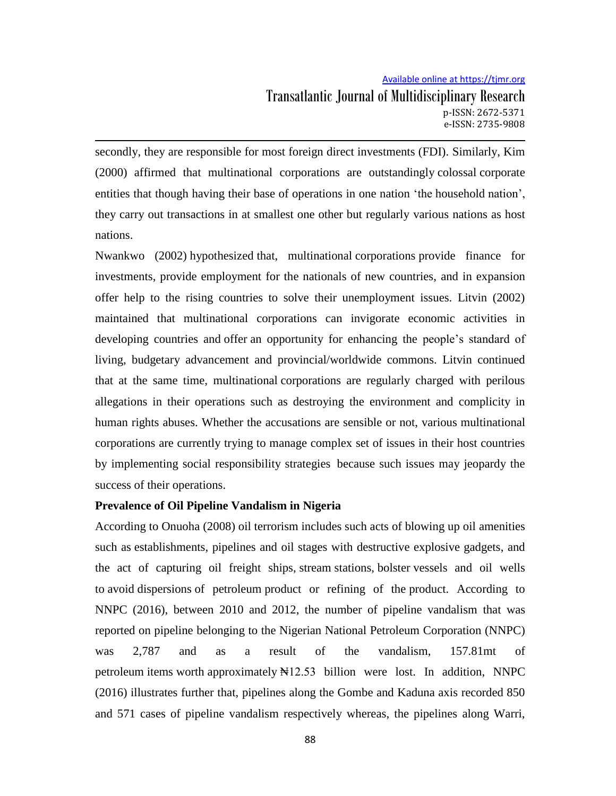# Available online at https://tjmr.org Transatlantic Journal of Multidisciplinary Research p-ISSN: 2672-5371 e-ISSN: 2735-9808

secondly, they are responsible for most foreign direct investments (FDI). Similarly, Kim (2000) affirmed that multinational corporations are outstandingly colossal corporate entities that though having their base of operations in one nation "the household nation", they carry out transactions in at smallest one other but regularly various nations as host nations.

Nwankwo (2002) hypothesized that, multinational corporations provide finance for investments, provide employment for the nationals of new countries, and in expansion offer help to the rising countries to solve their unemployment issues. Litvin (2002) maintained that multinational corporations can invigorate economic activities in developing countries and offer an opportunity for enhancing the people"s standard of living, budgetary advancement and provincial/worldwide commons. Litvin continued that at the same time, multinational corporations are regularly charged with perilous allegations in their operations such as destroying the environment and complicity in human rights abuses. Whether the accusations are sensible or not, various multinational corporations are currently trying to manage complex set of issues in their host countries by implementing social responsibility strategies because such issues may jeopardy the success of their operations.

# **Prevalence of Oil Pipeline Vandalism in Nigeria**

According to Onuoha (2008) oil terrorism includes such acts of blowing up oil amenities such as establishments, pipelines and oil stages with destructive explosive gadgets, and the act of capturing oil freight ships, stream stations, bolster vessels and oil wells to avoid dispersions of petroleum product or refining of the product. According to NNPC (2016), between 2010 and 2012, the number of pipeline vandalism that was reported on pipeline belonging to the Nigerian National Petroleum Corporation (NNPC) was 2,787 and as a result of the vandalism, 157.81mt of petroleum items worth approximately  $\mathbb{N}12.53$  billion were lost. In addition, NNPC (2016) illustrates further that, pipelines along the Gombe and Kaduna axis recorded 850 and 571 cases of pipeline vandalism respectively whereas, the pipelines along Warri,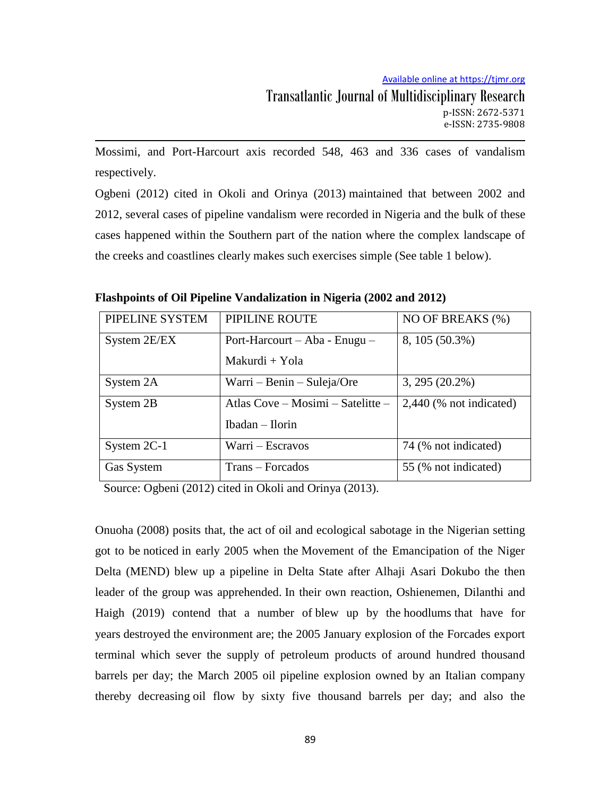Mossimi, and Port-Harcourt axis recorded 548, 463 and 336 cases of vandalism respectively.

Ogbeni (2012) cited in Okoli and Orinya (2013) maintained that between 2002 and 2012, several cases of pipeline vandalism were recorded in Nigeria and the bulk of these cases happened within the Southern part of the nation where the complex landscape of the creeks and coastlines clearly makes such exercises simple (See table 1 below).

| PIPELINE SYSTEM | PIPILINE ROUTE                    | NO OF BREAKS (%)          |
|-----------------|-----------------------------------|---------------------------|
| System 2E/EX    | Port-Harcourt – Aba - Enugu –     | 8, 105 (50.3%)            |
|                 | Makurdi + Yola                    |                           |
| System 2A       | Warri – Benin – Suleja/Ore        | $3,295(20.2\%)$           |
| System 2B       | Atlas Cove – Mosimi – Satelitte – | $2,440$ (% not indicated) |
|                 | Ibadan - Ilorin                   |                           |
| System 2C-1     | Warri – Escravos                  | 74 (% not indicated)      |
| Gas System      | Trans – Forcados                  | 55 (% not indicated)      |

**Flashpoints of Oil Pipeline Vandalization in Nigeria (2002 and 2012)**

Source: Ogbeni (2012) cited in Okoli and Orinya (2013).

Onuoha (2008) posits that, the act of oil and ecological sabotage in the Nigerian setting got to be noticed in early 2005 when the Movement of the Emancipation of the Niger Delta (MEND) blew up a pipeline in Delta State after Alhaji Asari Dokubo the then leader of the group was apprehended. In their own reaction, Oshienemen, Dilanthi and Haigh (2019) contend that a number of blew up by the hoodlums that have for years destroyed the environment are; the 2005 January explosion of the Forcades export terminal which sever the supply of petroleum products of around hundred thousand barrels per day; the March 2005 oil pipeline explosion owned by an Italian company thereby decreasing oil flow by sixty five thousand barrels per day; and also the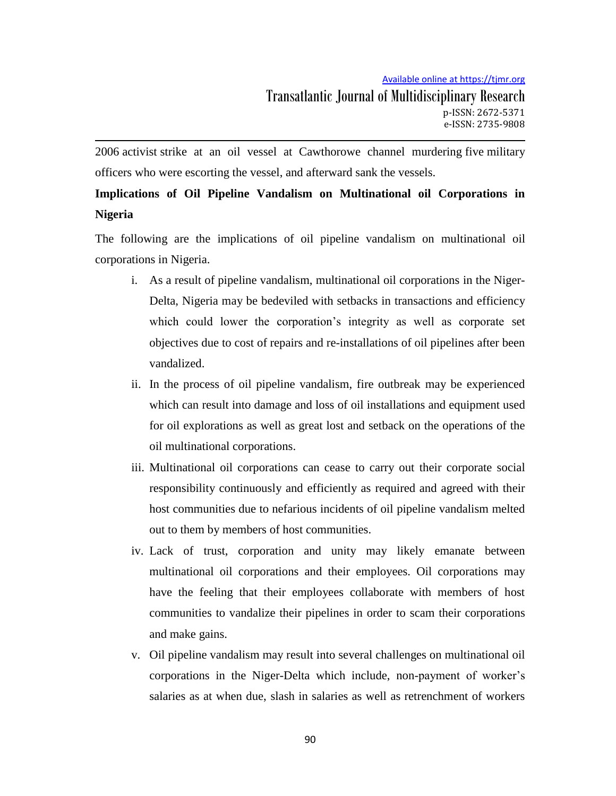2006 activist strike at an oil vessel at Cawthorowe channel murdering five military officers who were escorting the vessel, and afterward sank the vessels.

# **Implications of Oil Pipeline Vandalism on Multinational oil Corporations in Nigeria**

The following are the implications of oil pipeline vandalism on multinational oil corporations in Nigeria.

- i. As a result of pipeline vandalism, multinational oil corporations in the Niger-Delta, Nigeria may be bedeviled with setbacks in transactions and efficiency which could lower the corporation's integrity as well as corporate set objectives due to cost of repairs and re-installations of oil pipelines after been vandalized.
- ii. In the process of oil pipeline vandalism, fire outbreak may be experienced which can result into damage and loss of oil installations and equipment used for oil explorations as well as great lost and setback on the operations of the oil multinational corporations.
- iii. Multinational oil corporations can cease to carry out their corporate social responsibility continuously and efficiently as required and agreed with their host communities due to nefarious incidents of oil pipeline vandalism melted out to them by members of host communities.
- iv. Lack of trust, corporation and unity may likely emanate between multinational oil corporations and their employees. Oil corporations may have the feeling that their employees collaborate with members of host communities to vandalize their pipelines in order to scam their corporations and make gains.
- v. Oil pipeline vandalism may result into several challenges on multinational oil corporations in the Niger-Delta which include, non-payment of worker"s salaries as at when due, slash in salaries as well as retrenchment of workers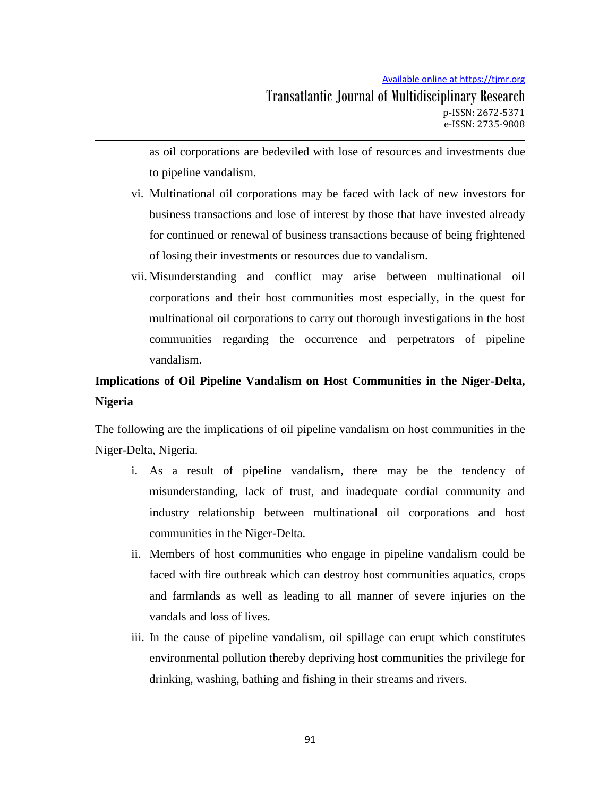as oil corporations are bedeviled with lose of resources and investments due to pipeline vandalism.

- vi. Multinational oil corporations may be faced with lack of new investors for business transactions and lose of interest by those that have invested already for continued or renewal of business transactions because of being frightened of losing their investments or resources due to vandalism.
- vii. Misunderstanding and conflict may arise between multinational oil corporations and their host communities most especially, in the quest for multinational oil corporations to carry out thorough investigations in the host communities regarding the occurrence and perpetrators of pipeline vandalism.

# **Implications of Oil Pipeline Vandalism on Host Communities in the Niger-Delta, Nigeria**

The following are the implications of oil pipeline vandalism on host communities in the Niger-Delta, Nigeria.

- i. As a result of pipeline vandalism, there may be the tendency of misunderstanding, lack of trust, and inadequate cordial community and industry relationship between multinational oil corporations and host communities in the Niger-Delta.
- ii. Members of host communities who engage in pipeline vandalism could be faced with fire outbreak which can destroy host communities aquatics, crops and farmlands as well as leading to all manner of severe injuries on the vandals and loss of lives.
- iii. In the cause of pipeline vandalism, oil spillage can erupt which constitutes environmental pollution thereby depriving host communities the privilege for drinking, washing, bathing and fishing in their streams and rivers.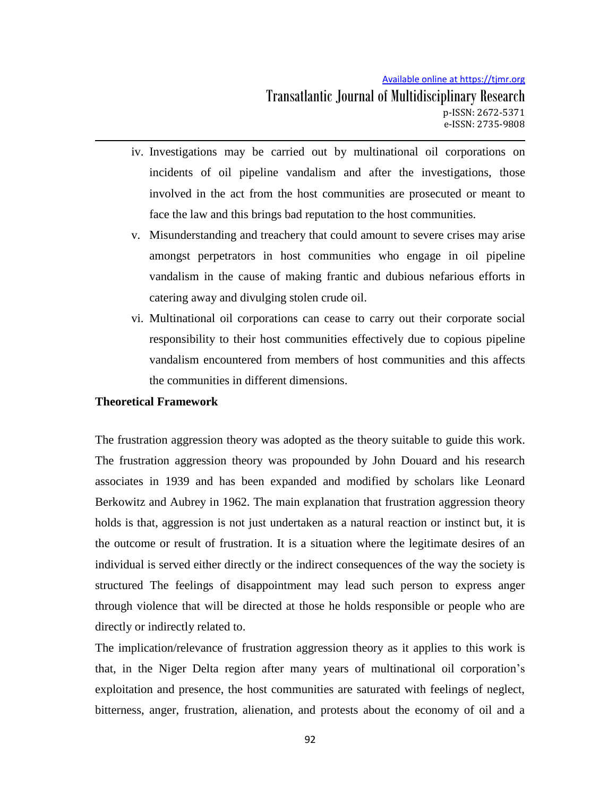- iv. Investigations may be carried out by multinational oil corporations on incidents of oil pipeline vandalism and after the investigations, those involved in the act from the host communities are prosecuted or meant to face the law and this brings bad reputation to the host communities.
- v. Misunderstanding and treachery that could amount to severe crises may arise amongst perpetrators in host communities who engage in oil pipeline vandalism in the cause of making frantic and dubious nefarious efforts in catering away and divulging stolen crude oil.
- vi. Multinational oil corporations can cease to carry out their corporate social responsibility to their host communities effectively due to copious pipeline vandalism encountered from members of host communities and this affects the communities in different dimensions.

## **Theoretical Framework**

The frustration aggression theory was adopted as the theory suitable to guide this work. The frustration aggression theory was propounded by John Douard and his research associates in 1939 and has been expanded and modified by scholars like Leonard Berkowitz and Aubrey in 1962. The main explanation that frustration aggression theory holds is that, aggression is not just undertaken as a natural reaction or instinct but, it is the outcome or result of frustration. It is a situation where the legitimate desires of an individual is served either directly or the indirect consequences of the way the society is structured The feelings of disappointment may lead such person to express anger through violence that will be directed at those he holds responsible or people who are directly or indirectly related to.

The implication/relevance of frustration aggression theory as it applies to this work is that, in the Niger Delta region after many years of multinational oil corporation"s exploitation and presence, the host communities are saturated with feelings of neglect, bitterness, anger, frustration, alienation, and protests about the economy of oil and a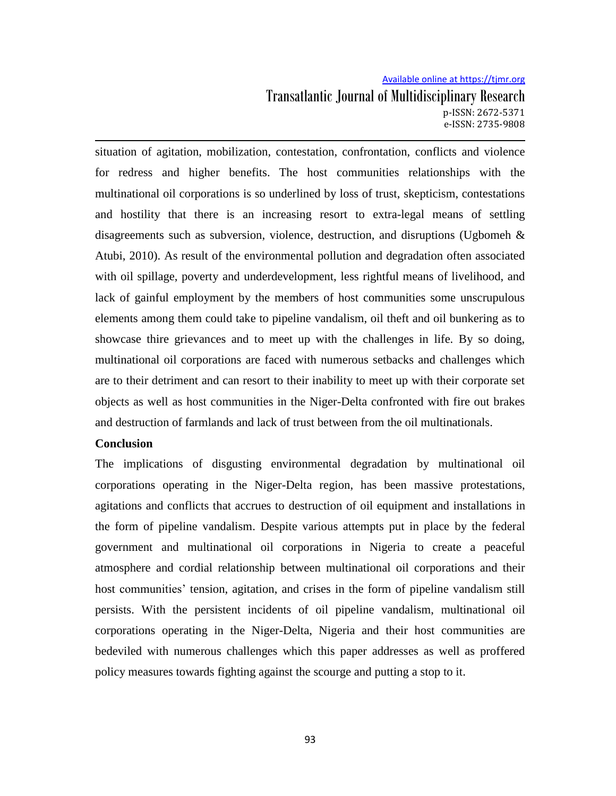# Available online at https://tjmr.org Transatlantic Journal of Multidisciplinary Research p-ISSN: 2672-5371 e-ISSN: 2735-9808

situation of agitation, mobilization, contestation, confrontation, conflicts and violence for redress and higher benefits. The host communities relationships with the multinational oil corporations is so underlined by loss of trust, skepticism, contestations and hostility that there is an increasing resort to extra-legal means of settling disagreements such as subversion, violence, destruction, and disruptions (Ugbomeh  $\&$ Atubi, 2010). As result of the environmental pollution and degradation often associated with oil spillage, poverty and underdevelopment, less rightful means of livelihood, and lack of gainful employment by the members of host communities some unscrupulous elements among them could take to pipeline vandalism, oil theft and oil bunkering as to showcase thire grievances and to meet up with the challenges in life. By so doing, multinational oil corporations are faced with numerous setbacks and challenges which are to their detriment and can resort to their inability to meet up with their corporate set objects as well as host communities in the Niger-Delta confronted with fire out brakes and destruction of farmlands and lack of trust between from the oil multinationals.

#### **Conclusion**

The implications of disgusting environmental degradation by multinational oil corporations operating in the Niger-Delta region, has been massive protestations, agitations and conflicts that accrues to destruction of oil equipment and installations in the form of pipeline vandalism. Despite various attempts put in place by the federal government and multinational oil corporations in Nigeria to create a peaceful atmosphere and cordial relationship between multinational oil corporations and their host communities' tension, agitation, and crises in the form of pipeline vandalism still persists. With the persistent incidents of oil pipeline vandalism, multinational oil corporations operating in the Niger-Delta, Nigeria and their host communities are bedeviled with numerous challenges which this paper addresses as well as proffered policy measures towards fighting against the scourge and putting a stop to it.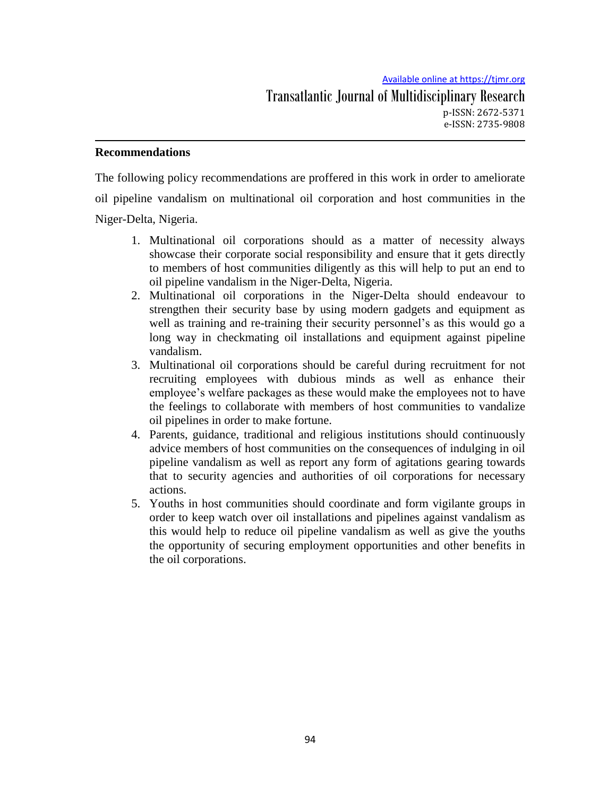# **Recommendations**

The following policy recommendations are proffered in this work in order to ameliorate oil pipeline vandalism on multinational oil corporation and host communities in the Niger-Delta, Nigeria.

- 1. Multinational oil corporations should as a matter of necessity always showcase their corporate social responsibility and ensure that it gets directly to members of host communities diligently as this will help to put an end to oil pipeline vandalism in the Niger-Delta, Nigeria.
- 2. Multinational oil corporations in the Niger-Delta should endeavour to strengthen their security base by using modern gadgets and equipment as well as training and re-training their security personnel"s as this would go a long way in checkmating oil installations and equipment against pipeline vandalism.
- 3. Multinational oil corporations should be careful during recruitment for not recruiting employees with dubious minds as well as enhance their employee"s welfare packages as these would make the employees not to have the feelings to collaborate with members of host communities to vandalize oil pipelines in order to make fortune.
- 4. Parents, guidance, traditional and religious institutions should continuously advice members of host communities on the consequences of indulging in oil pipeline vandalism as well as report any form of agitations gearing towards that to security agencies and authorities of oil corporations for necessary actions.
- 5. Youths in host communities should coordinate and form vigilante groups in order to keep watch over oil installations and pipelines against vandalism as this would help to reduce oil pipeline vandalism as well as give the youths the opportunity of securing employment opportunities and other benefits in the oil corporations.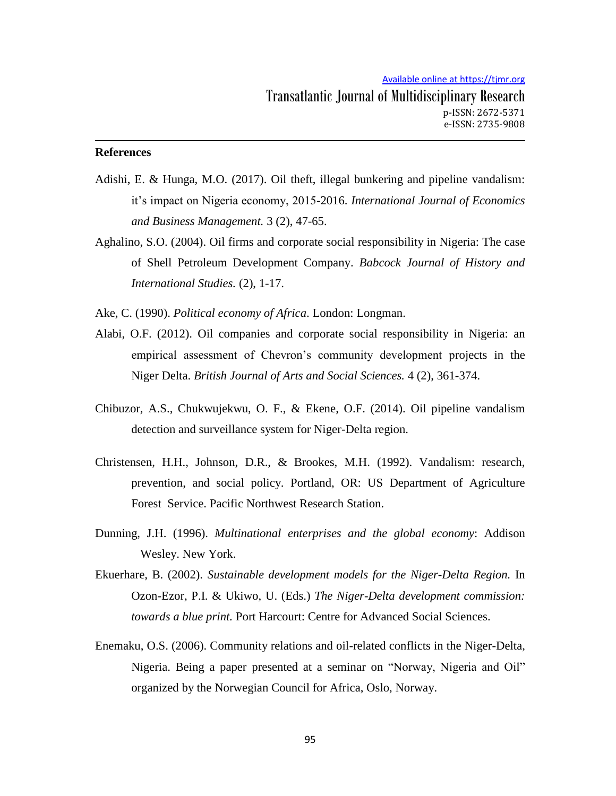## **References**

- Adishi, E. & Hunga, M.O. (2017). Oil theft, illegal bunkering and pipeline vandalism: it"s impact on Nigeria economy, 2015-2016. *International Journal of Economics and Business Management.* 3 (2), 47-65.
- Aghalino, S.O. (2004). Oil firms and corporate social responsibility in Nigeria: The case of Shell Petroleum Development Company. *Babcock Journal of History and International Studies.* (2), 1-17.

Ake, C. (1990). *Political economy of Africa*. London: Longman.

- Alabi, O.F. (2012). Oil companies and corporate social responsibility in Nigeria: an empirical assessment of Chevron"s community development projects in the Niger Delta. *British Journal of Arts and Social Sciences.* 4 (2), 361-374.
- Chibuzor, A.S., Chukwujekwu, O. F., & Ekene, O.F. (2014). Oil pipeline vandalism detection and surveillance system for Niger-Delta region.
- Christensen, H.H., Johnson, D.R., & Brookes, M.H. (1992). Vandalism: research, prevention, and social policy. Portland, OR: US Department of Agriculture Forest Service. Pacific Northwest Research Station.
- Dunning, J.H. (1996). *Multinational enterprises and the global economy*: Addison Wesley. New York.
- Ekuerhare, B. (2002). *Sustainable development models for the Niger-Delta Region.* In Ozon-Ezor, P.I. & Ukiwo, U. (Eds.) *The Niger-Delta development commission: towards a blue print.* Port Harcourt: Centre for Advanced Social Sciences.
- Enemaku, O.S. (2006). Community relations and oil-related conflicts in the Niger-Delta, Nigeria. Being a paper presented at a seminar on "Norway, Nigeria and Oil" organized by the Norwegian Council for Africa, Oslo, Norway.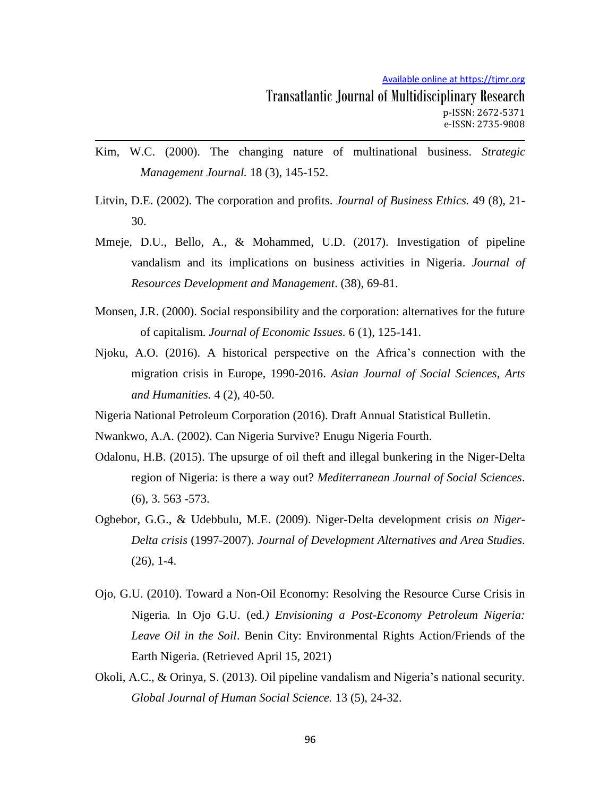- Kim, W.C. (2000). The changing nature of multinational business. *Strategic Management Journal.* 18 (3), 145-152.
- Litvin, D.E. (2002). The corporation and profits. *Journal of Business Ethics.* 49 (8), 21- 30.
- Mmeje, D.U., Bello, A., & Mohammed, U.D. (2017). Investigation of pipeline vandalism and its implications on business activities in Nigeria. *Journal of Resources Development and Management*. (38), 69-81.
- Monsen, J.R. (2000). Social responsibility and the corporation: alternatives for the future of capitalism*. Journal of Economic Issues.* 6 (1), 125-141.
- Njoku, A.O. (2016). A historical perspective on the Africa"s connection with the migration crisis in Europe, 1990-2016. *Asian Journal of Social Sciences, Arts and Humanities.* 4 (2), 40-50.
- Nigeria National Petroleum Corporation (2016). Draft Annual Statistical Bulletin.

Nwankwo, A.A. (2002). Can Nigeria Survive? Enugu Nigeria Fourth.

- Odalonu, H.B. (2015). The upsurge of oil theft and illegal bunkering in the Niger-Delta region of Nigeria: is there a way out? *Mediterranean Journal of Social Sciences*. (6), 3. 563 -573.
- Ogbebor, G.G., & Udebbulu, M.E. (2009). Niger-Delta development crisis *on Niger-Delta crisis* (1997-2007). *Journal of Development Alternatives and Area Studies*. (26), 1-4.
- Ojo, G.U. (2010). Toward a Non-Oil Economy: Resolving the Resource Curse Crisis in Nigeria. In Ojo G.U. (ed*.) Envisioning a Post-Economy Petroleum Nigeria: Leave Oil in the Soil*. Benin City: Environmental Rights Action/Friends of the Earth Nigeria. (Retrieved April 15, 2021)
- Okoli, A.C., & Orinya, S. (2013). Oil pipeline vandalism and Nigeria's national security. *Global Journal of Human Social Science.* 13 (5), 24-32.